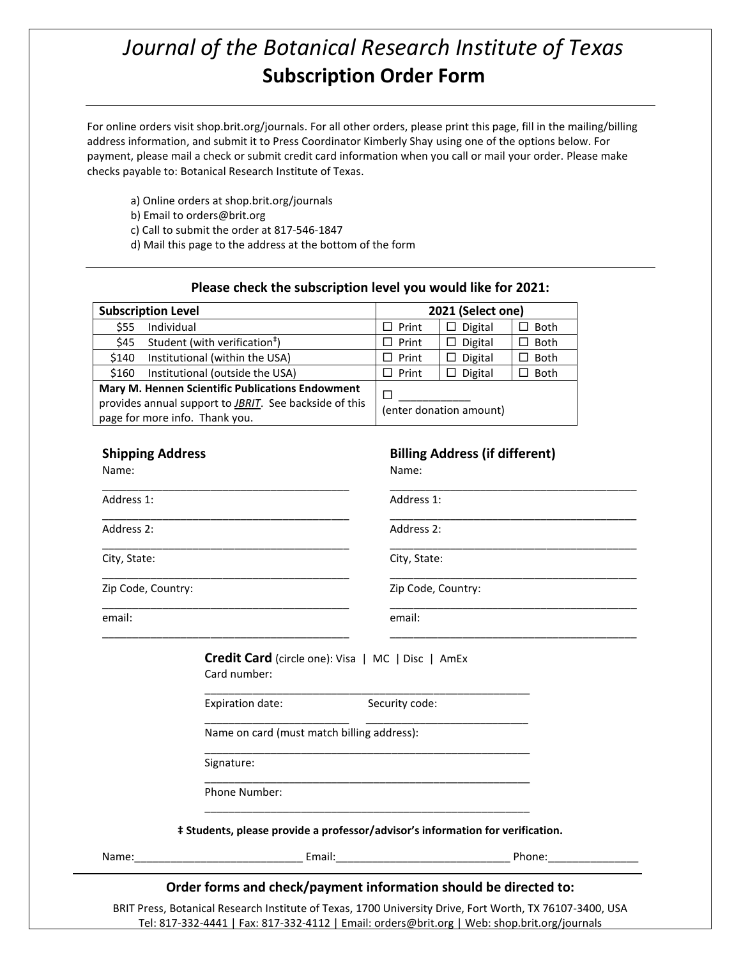## *Journal of the Botanical Research Institute of Texas* **Subscription Order Form**

For online orders visit shop.brit.org/journals. For all other orders, please print this page, fill in the mailing/billing address information, and submit it to Press Coordinator Kimberly Shay using one of the options below. For payment, please mail a check or submit credit card information when you call or mail your order. Please make checks payable to: Botanical Research Institute of Texas.

a) Online orders at shop.brit.org/journals

b) Email to orders@brit.org

c) Call to submit the order at 817-546-1847

d) Mail this page to the address at the bottom of the form

## **Please check the subscription level you would like for 2021:**

| <b>Subscription Level</b>                                                |                | 2021 (Select one)                     |                |  |
|--------------------------------------------------------------------------|----------------|---------------------------------------|----------------|--|
| \$55<br>Individual                                                       | $\Box$ Print   | Digital<br>ப                          | Both<br>□      |  |
| \$45<br>Student (with verification <sup>#</sup> )                        | $\Box$ Print   | $\Box$<br>Digital                     | □<br>Both      |  |
| Institutional (within the USA)<br>\$140                                  | $\Box$ Print   | $\square$ Digital                     | $\Box$ Both    |  |
| \$160<br>Institutional (outside the USA)                                 | $\Box$ Print   | $\square$ Digital                     | Both<br>$\Box$ |  |
| Mary M. Hennen Scientific Publications Endowment                         |                | П                                     |                |  |
| provides annual support to <b>JBRIT</b> . See backside of this           |                | (enter donation amount)               |                |  |
| page for more info. Thank you.                                           |                |                                       |                |  |
| <b>Shipping Address</b><br>Name:                                         | Name:          | <b>Billing Address (if different)</b> |                |  |
| Address 1:                                                               |                | Address 1:                            |                |  |
| Address 2:                                                               |                | Address 2:                            |                |  |
| City, State:                                                             | City, State:   |                                       |                |  |
| Zip Code, Country:                                                       |                | Zip Code, Country:                    |                |  |
| email:                                                                   | email:         |                                       |                |  |
| <b>Credit Card</b> (circle one): Visa   MC   Disc   AmEx<br>Card number: |                |                                       |                |  |
| Expiration date:                                                         | Security code: |                                       |                |  |
| Name on card (must match billing address):                               |                |                                       |                |  |
| Signature:                                                               |                |                                       |                |  |
| Phone Number:                                                            |                |                                       |                |  |

Name:\_\_\_\_\_\_\_\_\_\_\_\_\_\_\_\_\_\_\_\_\_\_\_\_\_\_\_\_ Email:\_\_\_\_\_\_\_\_\_\_\_\_\_\_\_\_\_\_\_\_\_\_\_\_\_\_\_\_\_ Phone:\_\_\_\_\_\_\_\_\_\_\_\_\_\_\_

## **Order forms and check/payment information should be directed to:**

BRIT Press, Botanical Research Institute of Texas, 1700 University Drive, Fort Worth, TX 76107-3400, USA Tel: 817-332-4441 | Fax: 817-332-4112 | Email: orders@brit.org | Web: shop.brit.org/journals